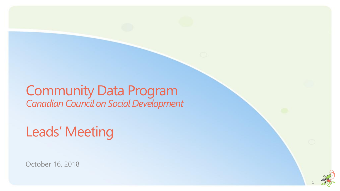### Community Data Program *Canadian Council on Social Development*

Leads' Meeting

October 16, 2018

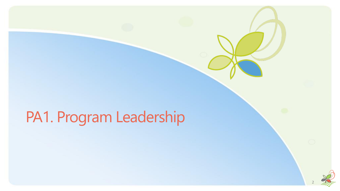# PA1. Program Leadership

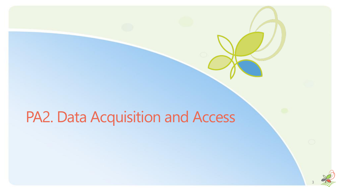# PA2. Data Acquisition and Access

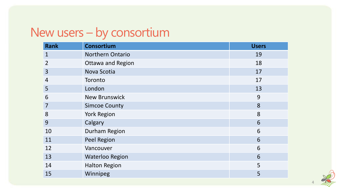### New users – by consortium

| <b>Rank</b>    | <b>Consortium</b>        | <b>Users</b> |
|----------------|--------------------------|--------------|
| $\mathbf 1$    | Northern Ontario         | 19           |
| $\overline{2}$ | <b>Ottawa and Region</b> | 18           |
| $\overline{3}$ | Nova Scotia              | 17           |
| $\overline{4}$ | Toronto                  | 17           |
| 5              | London                   | 13           |
| 6              | <b>New Brunswick</b>     | 9            |
| $\overline{7}$ | <b>Simcoe County</b>     | 8            |
| 8              | <b>York Region</b>       | 8            |
| 9              | Calgary                  | 6            |
| 10             | Durham Region            | 6            |
| 11             | <b>Peel Region</b>       | 6            |
| 12             | Vancouver                | 6            |
| 13             | <b>Waterloo Region</b>   | 6            |
| 14             | <b>Halton Region</b>     | 5            |
| 15             | Winnipeg                 | 5            |

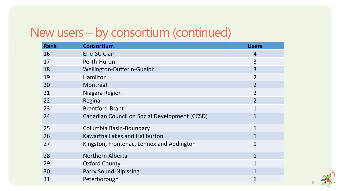# New users – by consortium (continued)

| <b>Rank</b> | <b>Consortium</b>                             | <b>Users</b>   |
|-------------|-----------------------------------------------|----------------|
| 16          | Erie-St. Clair                                | $\overline{4}$ |
| 17          | Perth-Huron                                   | 3              |
| 18          | Wellington-Dufferin-Guelph                    | $\overline{3}$ |
| 19          | Hamilton                                      | $\overline{2}$ |
| 20          | Montréal                                      | $\overline{2}$ |
| 21          | Niagara Region                                | $\overline{2}$ |
| 22          | Regina                                        | $\overline{2}$ |
| 23          | <b>Brantford-Brant</b>                        | $\mathbf{1}$   |
| 24          | Canadian Council on Social Development (CCSD) | 1              |
| 25          | Columbia Basin-Boundary                       | $\mathbf{1}$   |
| 26          | Kawartha Lakes and Haliburton                 |                |
| 27          | Kingston, Frontenac, Lennox and Addington     | 1              |
| 28          | Northern Alberta                              | $\mathbf{1}$   |
| 29          | <b>Oxford County</b>                          | $\mathbf{1}$   |
| 30          | <b>Parry Sound-Nipissing</b>                  | 1              |
| 31          | Peterborough                                  |                |

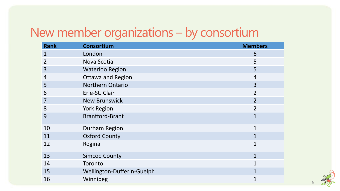# New member organizations – by consortium

| <b>Rank</b>    | <b>Consortium</b>          | <b>Members</b> |
|----------------|----------------------------|----------------|
| $\mathbf{1}$   | London                     | 6              |
| $\overline{2}$ | Nova Scotia                | 5              |
| 3              | <b>Waterloo Region</b>     | 5              |
| 4              | <b>Ottawa and Region</b>   | 4              |
| 5              | <b>Northern Ontario</b>    | $\overline{3}$ |
| 6              | Erie-St. Clair             | $\overline{2}$ |
| $\overline{7}$ | <b>New Brunswick</b>       | $\overline{2}$ |
| 8              | <b>York Region</b>         | $\overline{2}$ |
| 9              | <b>Brantford-Brant</b>     | $\mathbf{1}$   |
| 10             | Durham Region              | $\mathbf{1}$   |
| 11             | <b>Oxford County</b>       | 1              |
| 12             | Regina                     | $\mathbf{1}$   |
| 13             | <b>Simcoe County</b>       | $\mathbf{1}$   |
| 14             | Toronto                    | $\mathbf{1}$   |
| 15             | Wellington-Dufferin-Guelph |                |
| 16             | Winnipeg                   |                |

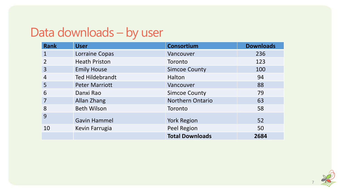# Data downloads – by user

| <b>Rank</b>    | <b>User</b>            | <b>Consortium</b>       | <b>Downloads</b> |
|----------------|------------------------|-------------------------|------------------|
|                | Lorraine Copas         | Vancouver               | 236              |
| $\overline{2}$ | <b>Heath Priston</b>   | Toronto                 | 123              |
| 3              | <b>Emily House</b>     | <b>Simcoe County</b>    | 100              |
| $\overline{4}$ | <b>Ted Hildebrandt</b> | Halton                  | 94               |
| 5              | <b>Peter Marriott</b>  | Vancouver               | 88               |
| 6              | Danxi Rao              | <b>Simcoe County</b>    | 79               |
|                | Allan Zhang            | <b>Northern Ontario</b> | 63               |
| 8              | <b>Beth Wilson</b>     | Toronto                 | 58               |
| 9              | <b>Gavin Hammel</b>    | <b>York Region</b>      | 52               |
| 10             | Kevin Farrugia         | Peel Region             | 50               |
|                |                        | <b>Total Downloads</b>  | 2684             |

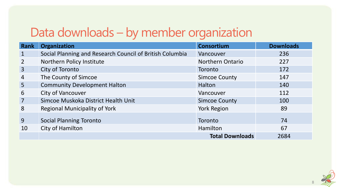## Data downloads – by member organization

| Rank           | <b>Organization</b>                                      | <b>Consortium</b>       | <b>Downloads</b> |
|----------------|----------------------------------------------------------|-------------------------|------------------|
| $\mathbf{1}$   | Social Planning and Research Council of British Columbia | Vancouver               | 236              |
| $\overline{2}$ | Northern Policy Institute                                | <b>Northern Ontario</b> | 227              |
| $\overline{3}$ | City of Toronto                                          | Toronto                 | 172              |
| $\overline{4}$ | The County of Simcoe                                     | <b>Simcoe County</b>    | 147              |
| 5 <sup>5</sup> | <b>Community Development Halton</b>                      | Halton                  | 140              |
| 6              | <b>City of Vancouver</b>                                 | Vancouver               | 112              |
| $\overline{7}$ | Simcoe Muskoka District Health Unit                      | <b>Simcoe County</b>    | 100              |
| 8              | <b>Regional Municipality of York</b>                     | <b>York Region</b>      | 89               |
| 9              | <b>Social Planning Toronto</b>                           | Toronto                 | 74               |
| 10             | City of Hamilton                                         | Hamilton                | 67               |
|                |                                                          | <b>Total Downloads</b>  | 2684             |

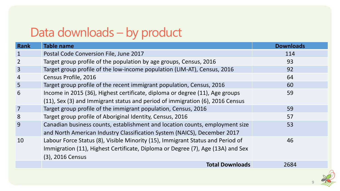# Data downloads – by product

| Rank           | <b>Table name</b>                                                               | <b>Downloads</b> |
|----------------|---------------------------------------------------------------------------------|------------------|
|                | Postal Code Conversion File, June 2017                                          | 114              |
| 2              | Target group profile of the population by age groups, Census, 2016              | 93               |
| $\overline{3}$ | Target group profile of the low-income population (LIM-AT), Census, 2016        | 92               |
| 4              | Census Profile, 2016                                                            | 64               |
| $\overline{5}$ | Target group profile of the recent immigrant population, Census, 2016           | 60               |
| 6              | Income in 2015 (36), Highest certificate, diploma or degree (11), Age groups    | 59               |
|                | (11), Sex (3) and Immigrant status and period of immigration (6), 2016 Census   |                  |
| $\overline{7}$ | Target group profile of the immigrant population, Census, 2016                  | 59               |
| 8              | Target group profile of Aboriginal Identity, Census, 2016                       | 57               |
| 9              | Canadian business counts, establishment and location counts, employment size    | 53               |
|                | and North American Industry Classification System (NAICS), December 2017        |                  |
| 10             | Labour Force Status (8), Visible Minority (15), Immigrant Status and Period of  | 46               |
|                | Immigration (11), Highest Certificate, Diploma or Degree (7), Age (13A) and Sex |                  |
|                | (3), 2016 Census                                                                |                  |
|                | <b>Total Downloads</b>                                                          | 2684             |



 $\Omega$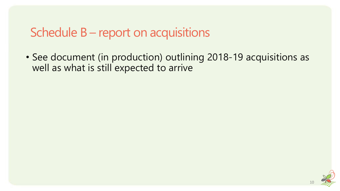### Schedule B – report on acquisitions

• See document (in production) outlining 2018-19 acquisitions as well as what is still expected to arrive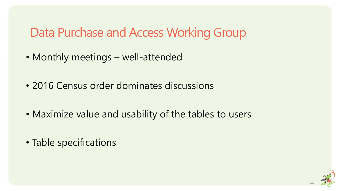### Data Purchase and Access Working Group

- Monthly meetings well-attended
- 2016 Census order dominates discussions
- Maximize value and usability of the tables to users
- Table specifications

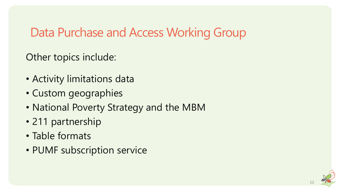### Data Purchase and Access Working Group

Other topics include:

- Activity limitations data
- Custom geographies
- National Poverty Strategy and the MBM
- 211 partnership
- Table formats
- PUMF subscription service

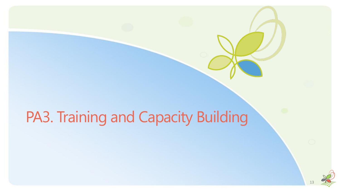# PA3. Training and Capacity Building

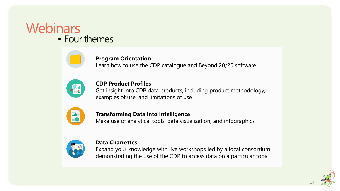#### **Webinars** • Four themes



#### **Program Orientation**

Learn how to use the CDP catalogue and Beyond 20/20 software



#### **CDP Product Profiles**

Get insight into CDP data products, including product methodology, examples of use, and limitations of use



#### **Transforming Data into Intelligence**

Make use of analytical tools, data visualization, and infographics



#### **Data Charrettes**

Expand your knowledge with live workshops led by a local consortium demonstrating the use of the CDP to access data on a particular topic

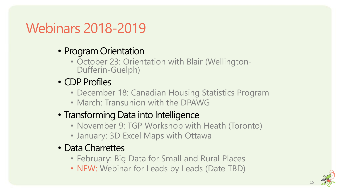# Webinars 2018-2019

- Program Orientation
	- October 23: Orientation with Blair (Wellington-Dufferin-Guelph)
- CDP Profiles
	- December 18: Canadian Housing Statistics Program
	- March: Transunion with the DPAWG
- Transforming Data into Intelligence
	- November 9: TGP Workshop with Heath (Toronto)
	- January: 3D Excel Maps with Ottawa
- Data Charrettes
	- February: Big Data for Small and Rural Places
	- NEW: Webinar for Leads by Leads (Date TBD)